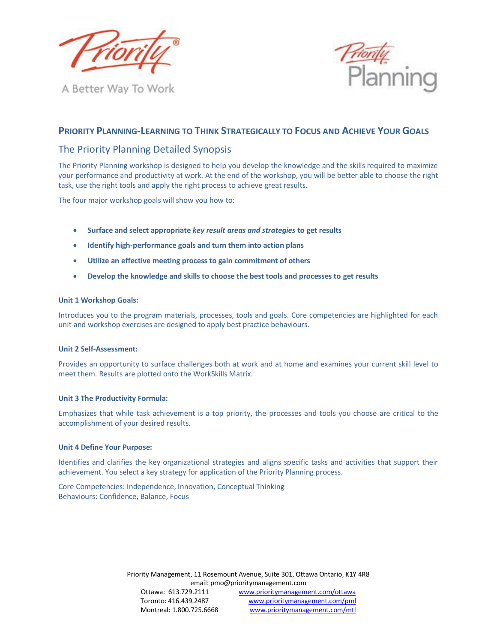

A Better Way To Work



### **PRIORITY PLANNING-LEARNING TO THINK STRATEGICALLY TO FOCUS AND ACHIEVE YOUR GOALS**

## The Priority Planning Detailed Synopsis

The Priority Planning workshop is designed to help you develop the knowledge and the skills required to maximize your performance and productivity at work. At the end of the workshop, you will be better able to choose the right task, use the right tools and apply the right process to achieve great results.

The four major workshop goals will show you how to:

- **Surface and select appropriate** *key result areas and strategies* **to get results**
- **Identify high-performance goals and turn them into action plans**
- **Utilize an effective meeting process to gain commitment of others**
- **Develop the knowledge and skills to choose the best tools and processes to get results**

### **Unit 1 Workshop Goals:**

Introduces you to the program materials, processes, tools and goals. Core competencies are highlighted for each unit and workshop exercises are designed to apply best practice behaviours.

### **Unit 2 Self-Assessment:**

Provides an opportunity to surface challenges both at work and at home and examines your current skill level to meet them. Results are plotted onto the WorkSkills Matrix.

### **Unit 3 The Productivity Formula:**

Emphasizes that while task achievement is a top priority, the processes and tools you choose are critical to the accomplishment of your desired results.

### **Unit 4 Define Your Purpose:**

Identifies and clarifies the key organizational strategies and aligns specific tasks and activities that support their achievement. You select a key strategy for application of the Priority Planning process.

Core Competencies: Independence, Innovation, Conceptual Thinking Behaviours: Confidence, Balance, Focus

> Priority Management, 11 Rosemount Avenue, Suite 301, Ottawa Ontario, K1Y 4R8 email: pmo@prioritymanagement.com Ottawa: 613.729.2111 www.prioritymanagement.com/ottawa Toronto: 416.439.2487 www.prioritymanagement.com/pml Montreal: 1.800.725.6668 www.prioritymanagement.com/mtl